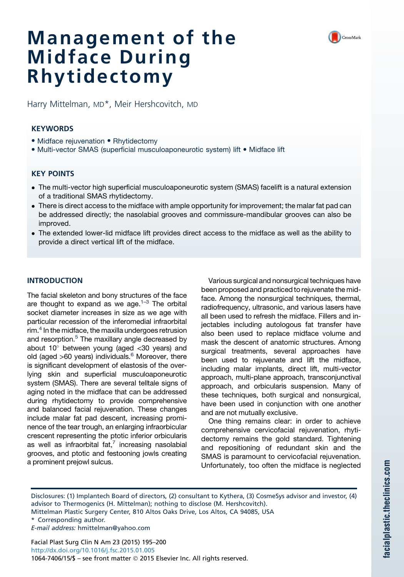

# Management of the Midface During Rhytidectomy

Harry Mittelman, MD\*, Meir Hershcovitch, MD

## **KEYWORDS**

- Midface rejuvenation Rhytidectomy
- Multi-vector SMAS (superficial musculoaponeurotic system) lift Midface lift

## KEY POINTS

- The multi-vector high superficial musculoaponeurotic system (SMAS) facelift is a natural extension of a traditional SMAS rhytidectomy.
- There is direct access to the midface with ample opportunity for improvement; the malar fat pad can be addressed directly; the nasolabial grooves and commissure-mandibular grooves can also be improved.
- The extended lower-lid midface lift provides direct access to the midface as well as the ability to provide a direct vertical lift of the midface.

## INTRODUCTION

The facial skeleton and bony structures of the face are thought to expand as we age. $1-3$  The orbital socket diameter increases in size as we age with particular recession of the inferomedial infraorbital  $rim<sup>4</sup>$  $rim<sup>4</sup>$  $rim<sup>4</sup>$  In the midface, the maxilla undergoes retrusion and resorption.<sup>[5](#page-5-0)</sup> The maxillary angle decreased by about  $10^\circ$  between young (aged <30 years) and old (aged  $>60$  years) individuals.<sup>6</sup> Moreover, there is significant development of elastosis of the overlying skin and superficial musculoaponeurotic system (SMAS). There are several telltale signs of aging noted in the midface that can be addressed during rhytidectomy to provide comprehensive and balanced facial rejuvenation. These changes include malar fat pad descent, increasing prominence of the tear trough, an enlarging infraorbicular crescent representing the ptotic inferior orbicularis as well as infraorbital fat, $^7$  increasing nasolabial grooves, and ptotic and festooning jowls creating a prominent prejowl sulcus.

Various surgical and nonsurgical techniques have been proposed and practiced to rejuvenate the midface. Among the nonsurgical techniques, thermal, radiofrequency, ultrasonic, and various lasers have all been used to refresh the midface. Fillers and injectables including autologous fat transfer have also been used to replace midface volume and mask the descent of anatomic structures. Among surgical treatments, several approaches have been used to rejuvenate and lift the midface, including malar implants, direct lift, multi-vector approach, multi-plane approach, transconjunctival approach, and orbicularis suspension. Many of these techniques, both surgical and nonsurgical, have been used in conjunction with one another and are not mutually exclusive.

One thing remains clear: in order to achieve comprehensive cervicofacial rejuvenation, rhytidectomy remains the gold standard. Tightening and repositioning of redundant skin and the SMAS is paramount to cervicofacial rejuvenation. Unfortunately, too often the midface is neglected

Disclosures: (1) Implantech Board of directors, (2) consultant to Kythera, (3) CosmeSys advisor and investor, (4) advisor to Thermogenics (H. Mittelman); nothing to disclose (M. Hershcovitch). Mittelman Plastic Surgery Center, 810 Altos Oaks Drive, Los Altos, CA 94085, USA \* Corresponding author.

E-mail address: [hmittelman@yahoo.com](mailto:hmittelman@yahoo.com)

Facial Plast Surg Clin N Am 23 (2015) 195–200 <http://dx.doi.org/10.1016/j.fsc.2015.01.005> 1064-7406/15/\$ – see front matter 2015 Elsevier Inc. All rights reserved.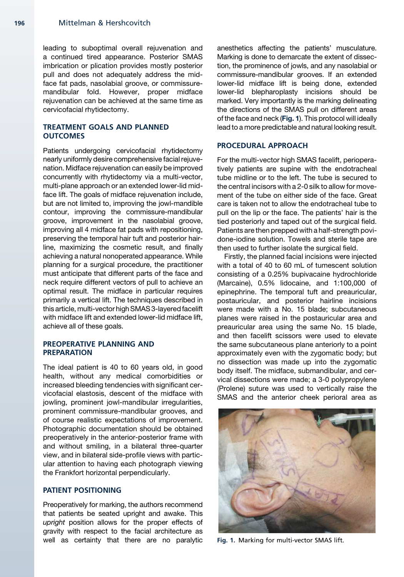leading to suboptimal overall rejuvenation and a continued tired appearance. Posterior SMAS imbrication or plication provides mostly posterior pull and does not adequately address the midface fat pads, nasolabial groove, or commissuremandibular fold. However, proper midface rejuvenation can be achieved at the same time as cervicofacial rhytidectomy.

# TREATMENT GOALS AND PLANNED **OUTCOMES**

Patients undergoing cervicofacial rhytidectomy nearly uniformly desire comprehensive facial rejuvenation. Midface rejuvenation can easily be improved concurrently with rhytidectomy via a multi-vector, multi-plane approach or an extended lower-lid midface lift. The goals of midface rejuvenation include, but are not limited to, improving the jowl-mandible contour, improving the commissure-mandibular groove, improvement in the nasolabial groove, improving all 4 midface fat pads with repositioning, preserving the temporal hair tuft and posterior hairline, maximizing the cosmetic result, and finally achieving a natural nonoperated appearance. While planning for a surgical procedure, the practitioner must anticipate that different parts of the face and neck require different vectors of pull to achieve an optimal result. The midface in particular requires primarily a vertical lift. The techniques described in this article, multi-vector high SMAS 3-layeredfacelift with midface lift and extended lower-lid midface lift, achieve all of these goals.

#### PREOPERATIVE PLANNING AND **PREPARATION**

The ideal patient is 40 to 60 years old, in good health, without any medical comorbidities or increased bleeding tendencies with significant cervicofacial elastosis, descent of the midface with jowling, prominent jowl-mandibular irregularities, prominent commissure-mandibular grooves, and of course realistic expectations of improvement. Photographic documentation should be obtained preoperatively in the anterior-posterior frame with and without smiling, in a bilateral three-quarter view, and in bilateral side-profile views with particular attention to having each photograph viewing the Frankfort horizontal perpendicularly.

#### PATIENT POSITIONING

Preoperatively for marking, the authors recommend that patients be seated upright and awake. This *upright* position allows for the proper effects of gravity with respect to the facial architecture as well as certainty that there are no paralytic anesthetics affecting the patients' musculature. Marking is done to demarcate the extent of dissection, the prominence of jowls, and any nasolabial or commissure-mandibular grooves. If an extended lower-lid midface lift is being done, extended lower-lid blepharoplasty incisions should be marked. Very importantly is the marking delineating the directions of the SMAS pull on different areas of the face and neck (Fig. 1). This protocol will ideally lead to a more predictable and natural looking result.

# PROCEDURAL APPROACH

For the multi-vector high SMAS facelift, perioperatively patients are supine with the endotracheal tube midline or to the left. The tube is secured to the central incisors with a 2-0 silk to allow for movement of the tube on either side of the face. Great care is taken not to allow the endotracheal tube to pull on the lip or the face. The patients' hair is the tied posteriorly and taped out of the surgical field. Patients are then prepped with a half-strength povidone-iodine solution. Towels and sterile tape are then used to further isolate the surgical field.

Firstly, the planned facial incisions were injected with a total of 40 to 60 mL of tumescent solution consisting of a 0.25% bupivacaine hydrochloride (Marcaine), 0.5% lidocaine, and 1:100,000 of epinephrine. The temporal tuft and preauricular, postauricular, and posterior hairline incisions were made with a No. 15 blade; subcutaneous planes were raised in the postauricular area and preauricular area using the same No. 15 blade, and then facelift scissors were used to elevate the same subcutaneous plane anteriorly to a point approximately even with the zygomatic body; but no dissection was made up into the zygomatic body itself. The midface, submandibular, and cervical dissections were made; a 3-0 polypropylene (Prolene) suture was used to vertically raise the SMAS and the anterior cheek perioral area as



Fig. 1. Marking for multi-vector SMAS lift.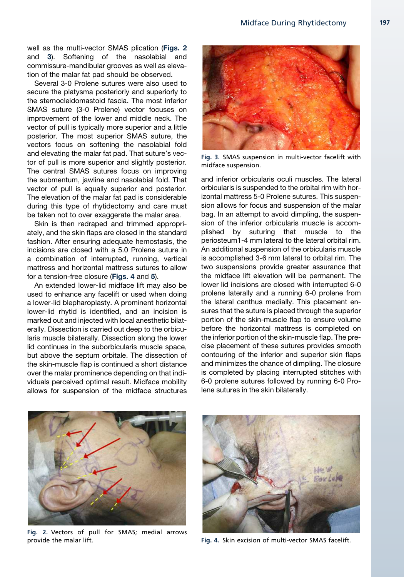Midface During Rhytidectomy 197

well as the multi-vector SMAS plication (Figs. 2 and 3). Softening of the nasolabial and commissure-mandibular grooves as well as elevation of the malar fat pad should be observed.

Several 3-0 Prolene sutures were also used to secure the platysma posteriorly and superiorly to the sternocleidomastoid fascia. The most inferior SMAS suture (3-0 Prolene) vector focuses on improvement of the lower and middle neck. The vector of pull is typically more superior and a little posterior. The most superior SMAS suture, the vectors focus on softening the nasolabial fold and elevating the malar fat pad. That suture's vector of pull is more superior and slightly posterior. The central SMAS sutures focus on improving the submentum, jawline and nasolabial fold. That vector of pull is equally superior and posterior. The elevation of the malar fat pad is considerable during this type of rhytidectomy and care must be taken not to over exaggerate the malar area.

Skin is then redraped and trimmed appropriately, and the skin flaps are closed in the standard fashion. After ensuring adequate hemostasis, the incisions are closed with a 5.0 Prolene suture in a combination of interrupted, running, vertical mattress and horizontal mattress sutures to allow for a tension-free closure (Figs. 4 and [5](#page-3-0)).

An extended lower-lid midface lift may also be used to enhance any facelift or used when doing a lower-lid blepharoplasty. A prominent horizontal lower-lid rhytid is identified, and an incision is marked out and injected with local anesthetic bilaterally. Dissection is carried out deep to the orbicularis muscle bilaterally. Dissection along the lower lid continues in the suborbicularis muscle space, but above the septum orbitale. The dissection of the skin-muscle flap is continued a short distance over the malar prominence depending on that individuals perceived optimal result. Midface mobility allows for suspension of the midface structures



Fig. 3. SMAS suspension in multi-vector facelift with midface suspension.

and inferior orbicularis oculi muscles. The lateral orbicularis is suspended to the orbital rim with horizontal mattress 5-0 Prolene sutures. This suspension allows for focus and suspension of the malar bag. In an attempt to avoid dimpling, the suspension of the inferior orbicularis muscle is accomplished by suturing that muscle to the periosteum1-4 mm lateral to the lateral orbital rim. An additional suspension of the orbicularis muscle is accomplished 3-6 mm lateral to orbital rim. The two suspensions provide greater assurance that the midface lift elevation will be permanent. The lower lid incisions are closed with interrupted 6-0 prolene laterally and a running 6-0 prolene from the lateral canthus medially. This placement ensures that the suture is placed through the superior portion of the skin-muscle flap to ensure volume before the horizontal mattress is completed on the inferior portion of the skin-muscle flap. The precise placement of these sutures provides smooth contouring of the inferior and superior skin flaps and minimizes the chance of dimpling. The closure is completed by placing interrupted stitches with 6-0 prolene sutures followed by running 6-0 Prolene sutures in the skin bilaterally.



Fig. 2. Vectors of pull for SMAS; medial arrows provide the malar lift.



Fig. 4. Skin excision of multi-vector SMAS facelift.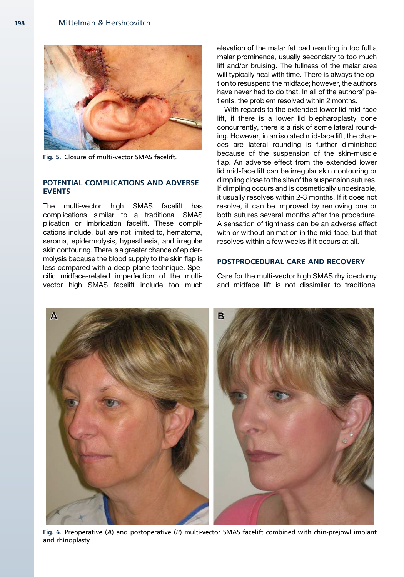<span id="page-3-0"></span>

Fig. 5. Closure of multi-vector SMAS facelift.

# POTENTIAL COMPLICATIONS AND ADVERSE **FVFNTS**

The multi-vector high SMAS facelift has complications similar to a traditional SMAS plication or imbrication facelift. These complications include, but are not limited to, hematoma, seroma, epidermolysis, hypesthesia, and irregular skin contouring. There is a greater chance of epidermolysis because the blood supply to the skin flap is less compared with a deep-plane technique. Specific midface-related imperfection of the multivector high SMAS facelift include too much elevation of the malar fat pad resulting in too full a malar prominence, usually secondary to too much lift and/or bruising. The fullness of the malar area will typically heal with time. There is always the option to resuspend the midface; however, the authors have never had to do that. In all of the authors' patients, the problem resolved within 2 months.

With regards to the extended lower lid mid-face lift, if there is a lower lid blepharoplasty done concurrently, there is a risk of some lateral rounding. However, in an isolated mid-face lift, the chances are lateral rounding is further diminished because of the suspension of the skin-muscle flap. An adverse effect from the extended lower lid mid-face lift can be irregular skin contouring or dimpling close to the site of the suspension sutures. If dimpling occurs and is cosmetically undesirable, it usually resolves within 2-3 months. If it does not resolve, it can be improved by removing one or both sutures several months after the procedure. A sensation of tightness can be an adverse effect with or without animation in the mid-face, but that resolves within a few weeks if it occurs at all.

# POSTPROCEDURAL CARE AND RECOVERY

Care for the multi-vector high SMAS rhytidectomy and midface lift is not dissimilar to traditional



Fig. 6. Preoperative (A) and postoperative (B) multi-vector SMAS facelift combined with chin-prejowl implant and rhinoplasty.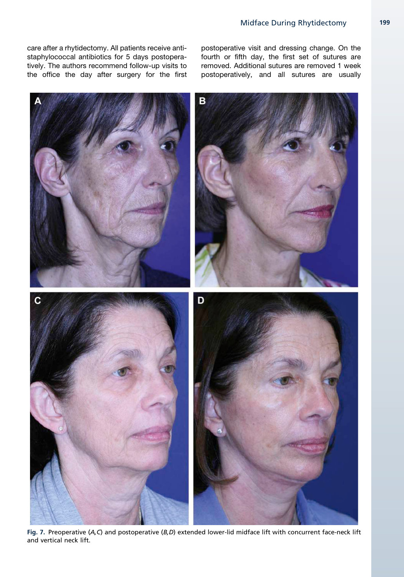<span id="page-4-0"></span>care after a rhytidectomy. All patients receive antistaphylococcal antibiotics for 5 days postoperatively. The authors recommend follow-up visits to the office the day after surgery for the first postoperative visit and dressing change. On the fourth or fifth day, the first set of sutures are removed. Additional sutures are removed 1 week postoperatively, and all sutures are usually



Fig. 7. Preoperative (A,C) and postoperative (B,D) extended lower-lid midface lift with concurrent face-neck lift and vertical neck lift.